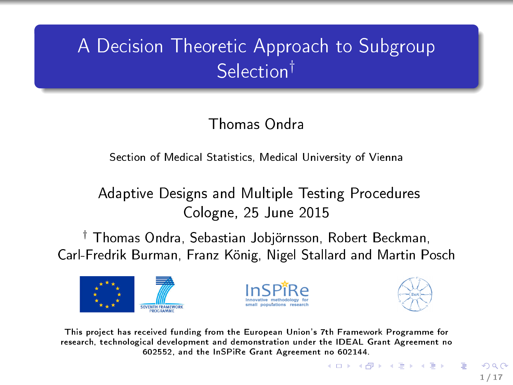## A Decision Theoretic Approach to Subgroup Selection†

### Thomas Ondra

#### Section of Medical Statistics, Medical University of Vienna

#### Adaptive Designs and Multiple Testing Procedures Cologne, 25 June 2015

† Thomas Ondra, Sebastian Jobjörnsson, Robert Beckman, Carl-Fredrik Burman, Franz König, Nigel Stallard and Martin Posch







 $\left\{ \begin{array}{ccc} 1 & 0 & 0 \\ 0 & 1 & 0 \end{array} \right.$ 

This project has received funding from the European Union's 7th Framework Programme for research, technological development and demonstration under the IDEAL Grant Agreement no 602552, and the InSPiRe Grant Agreement no 602144.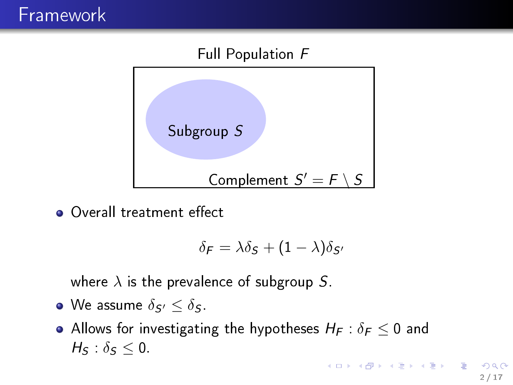#### Full Population F



Overall treatment effect

$$
\delta_{\mathsf{F}} = \lambda \delta_{\mathsf{S}} + (1 - \lambda) \delta_{\mathsf{S}'}
$$

where  $\lambda$  is the prevalence of subgroup S.

- We assume  $\delta_{S'} \leq \delta_S$ .
- Allows for investigating the hypotheses  $H_F : \delta_F \leq 0$  and  $H_s$  :  $\delta_s$  < 0.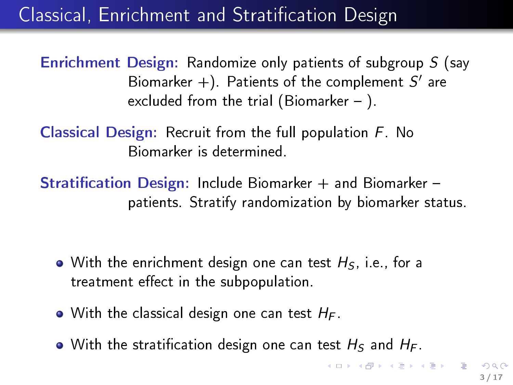## Classical, Enrichment and Stratification Design

Enrichment Design: Randomize only patients of subgroup S (say Biomarker  $+)$ . Patients of the complement  $S'$  are excluded from the trial (Biomarker  $-$  ).

Classical Design: Recruit from the full population F. No Biomarker is determined.

**Stratification Design: Include Biomarker + and Biomarker** patients. Stratify randomization by biomarker status.

- With the enrichment design one can test  $H_S$ , i.e., for a treatment effect in the subpopulation.
- $\bullet$  With the classical design one can test  $H_F$ .
- $\bullet$  With the stratification design one can test  $H_S$  and  $H_F$ .

 $\mathbf{1} \oplus \mathbf{1} \oplus \mathbf{1} \oplus \mathbf{1} \oplus \mathbf{1} \oplus \mathbf{1} \oplus \mathbf{1} \oplus \mathbf{1} \oplus \mathbf{1} \oplus \mathbf{1} \oplus \mathbf{1} \oplus \mathbf{1} \oplus \mathbf{1} \oplus \mathbf{1} \oplus \mathbf{1} \oplus \mathbf{1} \oplus \mathbf{1} \oplus \mathbf{1} \oplus \mathbf{1} \oplus \mathbf{1} \oplus \mathbf{1} \oplus \mathbf{1} \oplus \mathbf{1} \oplus \mathbf{1} \oplus \mathbf{$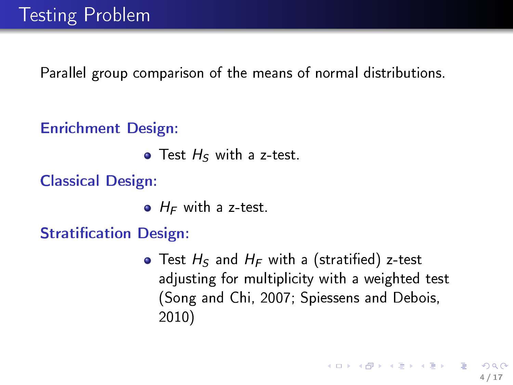Parallel group comparison of the means of normal distributions.

#### Enrichment Design:

 $\bullet$  Test  $H_S$  with a z-test.

Classical Design:

 $\bullet$  H<sub>F</sub> with a z-test.

**Stratification Design:** 

• Test  $H_S$  and  $H_F$  with a (stratified) z-test adjusting for multiplicity with a weighted test (Song and Chi, 2007; Spiessens and Debois, 2010)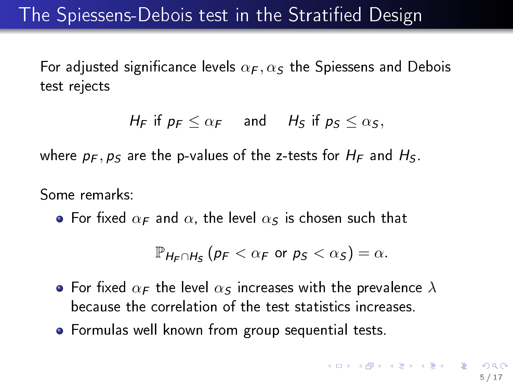### The Spiessens-Debois test in the Stratified Design

For adjusted significance levels  $\alpha_F, \alpha_S$  the Spiessens and Debois test rejects

$$
H_F \text{ if } p_F \leq \alpha_F \quad \text{ and } \quad H_S \text{ if } p_S \leq \alpha_S,
$$

where  $p_F$ ,  $p_S$  are the p-values of the z-tests for  $H_F$  and  $H_S$ .

Some remarks:

• For fixed  $\alpha_F$  and  $\alpha$ , the level  $\alpha_S$  is chosen such that

$$
\mathbb{P}_{H_F \cap H_S} (p_F < \alpha_F \text{ or } p_S < \alpha_S) = \alpha.
$$

- For fixed  $\alpha_F$  the level  $\alpha_S$  increases with the prevalence  $\lambda$ because the correlation of the test statistics increases.
- Formulas well known from group sequential tests.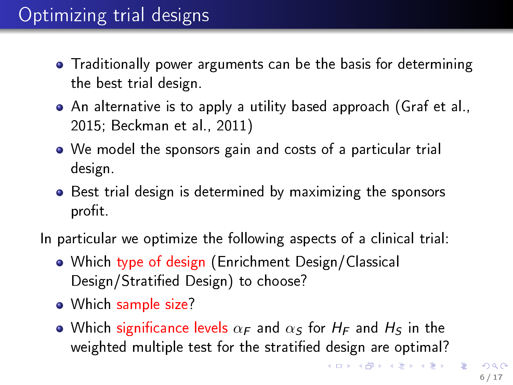## Optimizing trial designs

- Traditionally power arguments can be the basis for determining the best trial design.
- An alternative is to apply a utility based approach (Graf et al., 2015; Beckman et al., 2011)
- We model the sponsors gain and costs of a particular trial design.
- Best trial design is determined by maximizing the sponsors profit.
- In particular we optimize the following aspects of a clinical trial:
	- Which type of design (Enrichment Design/Classical Design/Stratied Design) to choose?
	- Which sample size?
	- Which significance levels  $\alpha_F$  and  $\alpha_S$  for  $H_F$  and  $H_S$  in the weighted multiple test for the stratified design are optimal?

K ロンス (個) 시 제 정 시 경 > 시 경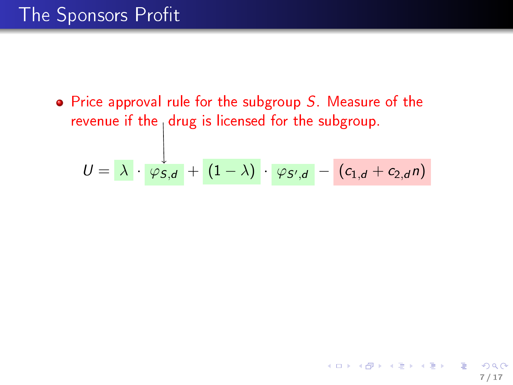$\bullet$  Price approval rule for the subgroup S. Measure of the revenue if the  $_1$  drug is licensed for the subgroup.

$$
U = \lambda \cdot \varphi_{S,d} + (1-\lambda) \cdot \varphi_{S',d} - (c_{1,d} + c_{2,d}n)
$$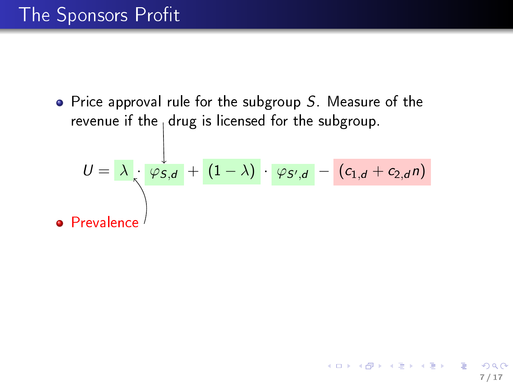• Price approval rule for the subgroup  $S$ . Measure of the revenue if the  $_1$  drug is licensed for the subgroup.

$$
U = \lambda \frac{\psi_{S,d}}{\sqrt{2\pi}} + (1-\lambda) \cdot \varphi_{S',d} - (c_{1,d} + c_{2,d}n)
$$
  
Prevalence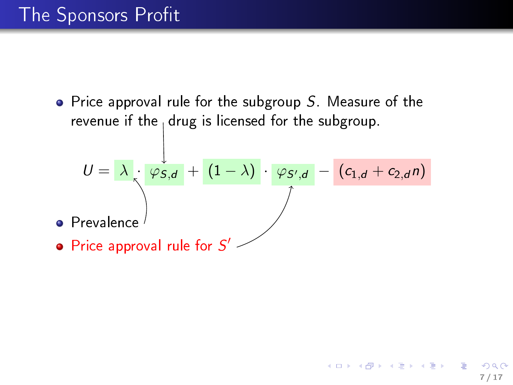$\bullet$ ۰

• Price approval rule for the subgroup  $S$ . Measure of the revenue if the  $_1$  drug is licensed for the subgroup.

$$
U = \lambda \cdot \frac{\varphi_{S,d}}{\varphi_{S,d}} + (1-\lambda) \cdot \frac{\varphi_{S',d}}{\varphi_{S',d}} - (c_{1,d} + c_{2,d}n)
$$
  
Prevalence  
Price approval rule for S'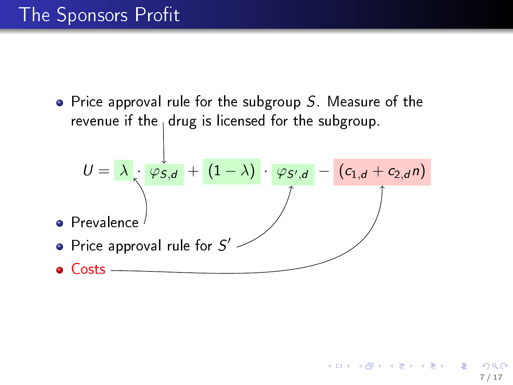• Price approval rule for the subgroup  $S$ . Measure of the revenue if the  $_1$  drug is licensed for the subgroup.

$$
U = \lambda \cdot \frac{\varphi_{S,d}}{\varphi_{S,d}} + (1-\lambda) \cdot \frac{\varphi_{S',d}}{\varphi_{S',d}} - (c_{1,d} + c_{2,d}n)
$$
\n• Prevalence\n\n• Price approval rule for S'\n\n• Costs

7 / 17

 $QQ$ 

K ロ K K 個 K K 경 K K 경 K 시 경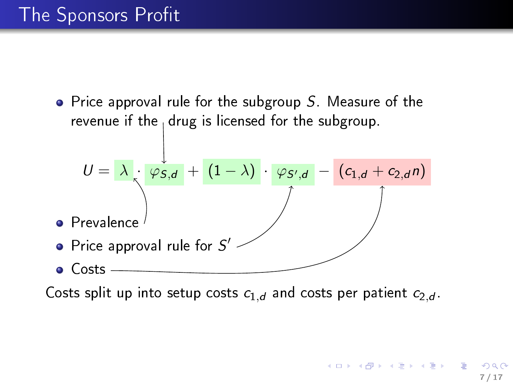$\bullet$  Price approval rule for the subgroup S. Measure of the revenue if the  $_1$  drug is licensed for the subgroup.

$$
U = \lambda \cdot \frac{\varphi_{S,d}}{\varphi_{S,d}} + (1-\lambda) \cdot \frac{\varphi_{S',d}}{\varphi_{S',d}} - (c_{1,d} + c_{2,d}n)
$$
\n• Prevalence\n\n• Price approval rule for S'

Costs split up into setup costs  $c_{1,d}$  and costs per patient  $c_{2,d}$ .

 $\mathcal{A}(\Box\rightarrow\Diamond\bullet\Box\rightarrow\Diamond\Box\rightarrow\Diamond\bullet\Box\rightarrow\Box\Box\Box\Box$ 7 / 17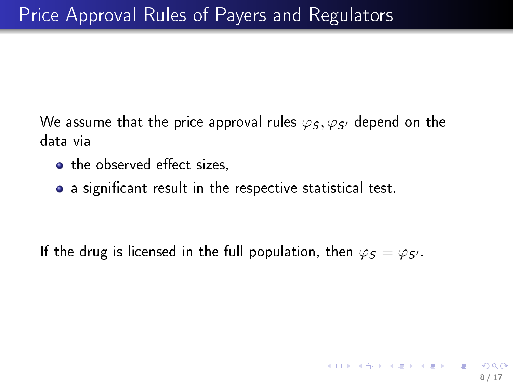We assume that the price approval rules  $\varphi_5, \varphi_{5'}$  depend on the data via

- the observed effect sizes.
- a significant result in the respective statistical test.

If the drug is licensed in the full population, then  $\varphi_S = \varphi_{S'}$ .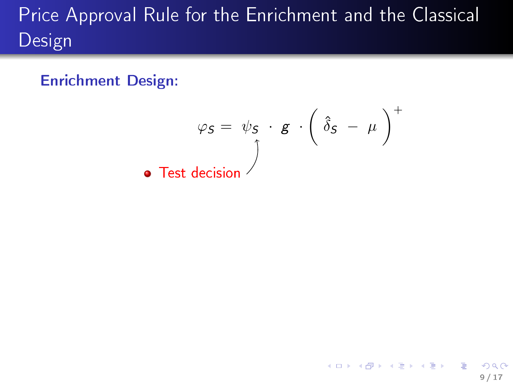Enrichment Design:

$$
\varphi_S = \psi_S \cdot g \cdot \left( \hat{\delta}_S - \mu \right)^+
$$
\n• Test decision

9 / 17

 $2990$ 

K ロ K K 個 K K 할 K K 할 K … 할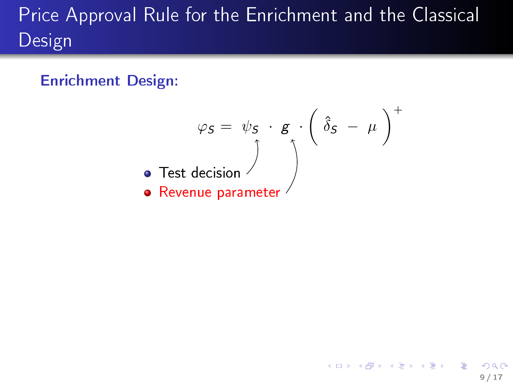#### Enrichment Design:

$$
\varphi_S = \psi_S \cdot g \cdot \left(\hat{\delta}_S - \mu\right)^+
$$
\n• Test decision\n• Revenue parameter

9 / 17

イロト イ御 トイミト イミト ニミー りんぴ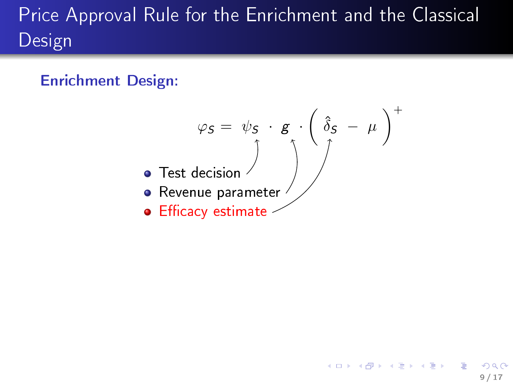#### Enrichment Design:



9 / 17

K ロンバイ (足) 시 (足) 시 (足) 시 (足)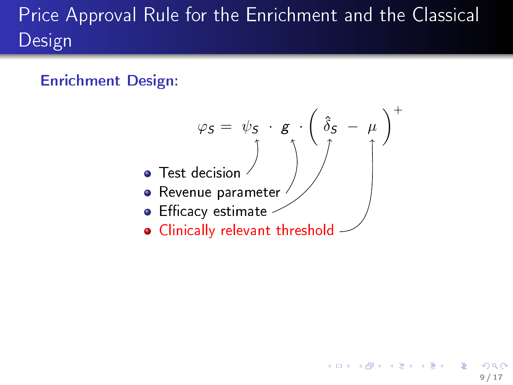#### Enrichment Design:



9 / 17

지口 이 지원이 지금이 지금이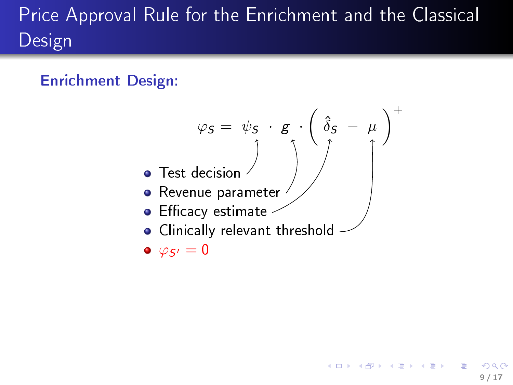#### Enrichment Design:



9 / 17

キロメ メ御き メミメ メミメ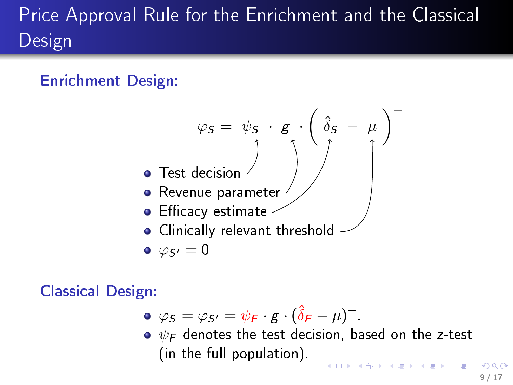#### Enrichment Design:



#### Classical Design:

- $\varphi s = \varphi s = \psi_F \cdot g \cdot (\hat{\delta}_F \mu)^+$ .
- $\bullet \psi_F$  denotes the test decision, based on the z-test (in the full population).

9 / 17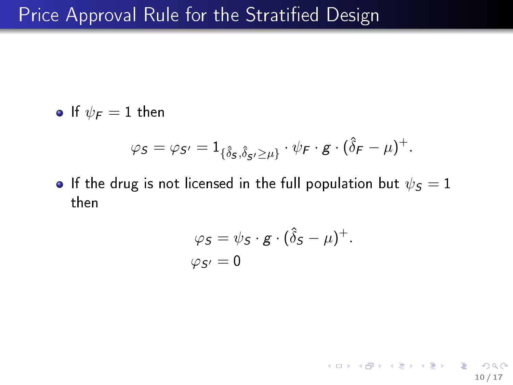• If  $\psi_F = 1$  then

$$
\varphi_S = \varphi_{S'} = 1_{\{\hat{\delta}_S, \hat{\delta}_S \geq \mu\}} \cdot \psi_F \cdot g \cdot (\hat{\delta}_F - \mu)^+.
$$

**•** If the drug is not licensed in the full population but  $\psi_{\mathcal{S}} = 1$ then

$$
\varphi_S = \psi_S \cdot g \cdot (\hat{\delta}_S - \mu)^+.
$$
  

$$
\varphi_{S'} = 0
$$

10 / 17

K ロ X x (@ X X 营 X X 营 X ) 를 → ⊙ Q (^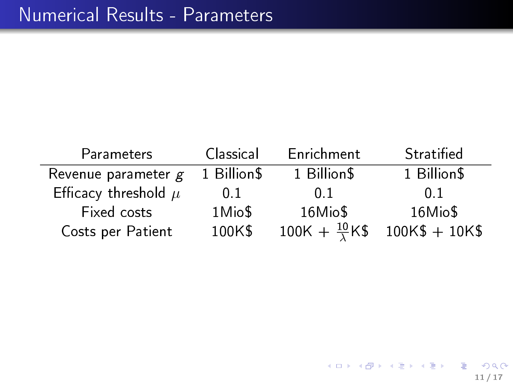| Parameters               | Classical      | Enrichment                    | Stratified       |
|--------------------------|----------------|-------------------------------|------------------|
| Revenue parameter $g$    | 1 Billion\$    | 1 Billion\$                   | 1 Billion\$      |
| Efficacy threshold $\mu$ | 0 <sub>1</sub> | 0 <sub>1</sub>                | 0.1              |
| Fixed costs              | 1Mio\$         | 16Mio\$                       | 16Mio\$          |
| Costs per Patient        | 100K\$         | $100K + \frac{10}{\lambda}K\$ | $100K\$ + $10K\$ |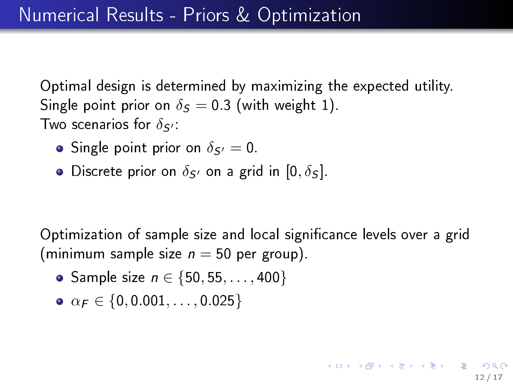Optimal design is determined by maximizing the expected utility. Single point prior on  $\delta_S = 0.3$  (with weight 1). Two scenarios for  $\delta s$ .

- Single point prior on  $\delta_{S'}=0$ .
- Discrete prior on  $\delta_{S'}$  on a grid in  $[0, \delta_S]$ .

Optimization of sample size and local significance levels over a grid (minimum sample size  $n = 50$  per group).

- Sample size  $n \in \{50, 55, ..., 400\}$
- $\alpha_F \in \{0, 0.001, \ldots, 0.025\}$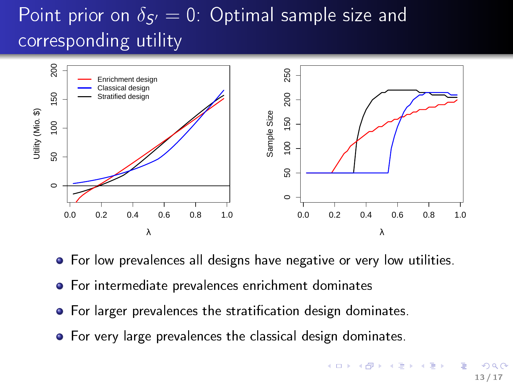## Point prior on  $\delta_{S'}=0$ : Optimal sample size and corresponding utility



- **•** For low prevalences all designs have negative or very low utilities.
- For intermediate prevalences enrichment dominates
- For larger prevalences the stratification design dominates.
- **•** For very large prevalences the classical design dominates.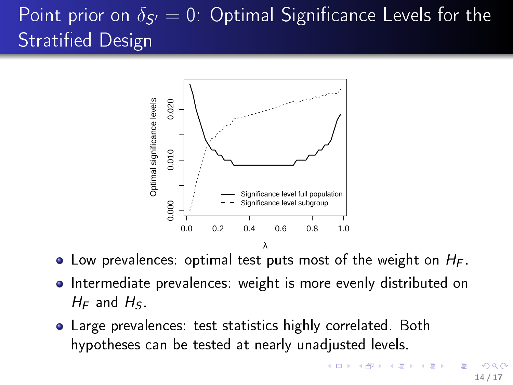## Point prior on  $\delta_{\mathcal{S}'}=0$ : Optimal Significance Levels for the Stratified Design



- $\bullet$  Low prevalences: optimal test puts most of the weight on  $H_F$ .
- **•** Intermediate prevalences: weight is more evenly distributed on  $H_F$  and  $H_S$ .
- Large prevalences: test statistics highly correlated. Both hypotheses can be tested at nearly unadjusted levels.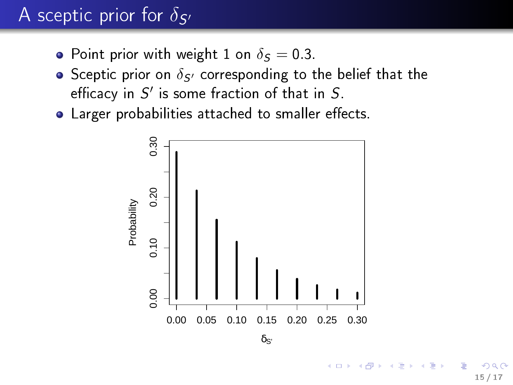## A sceptic prior for  $\delta_{\mathcal{S}'}$

- Point prior with weight 1 on  $\delta_S = 0.3$ .
- Sceptic prior on  $\delta_{S}$  corresponding to the belief that the efficacy in  $S'$  is some fraction of that in  $S$ .
- Larger probabilities attached to smaller effects.



 $\delta$ s'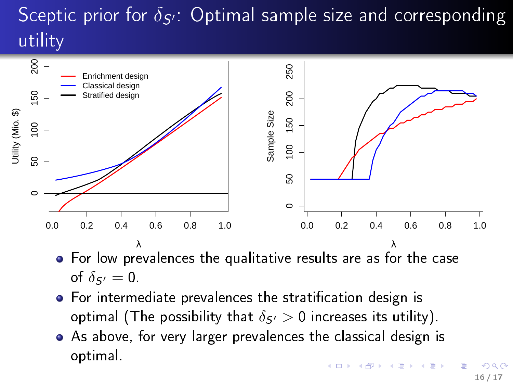# Sceptic prior for  $\delta_{\mathcal{S}'}$ : Optimal sample size and corresponding utility



- For low prevalences the qualitative results are as for the case of  $\delta_{S'}=0$ .
- **•** For intermediate prevalences the stratification design is optimal (The possibility that  $\delta s/0$  increases its utility).
- As above, for very larger prevalences the classical design is optimal.  $($  ロ )  $($   $($  $)$   $)$   $($   $)$   $($   $)$   $($   $)$   $($   $)$   $($   $)$   $($   $)$   $($   $)$   $($   $)$   $($   $)$   $($   $)$   $($   $)$   $($   $)$   $($   $)$   $($   $)$   $($   $)$   $($   $)$   $($   $)$   $($   $)$   $($   $)$   $($   $)$   $($   $)$   $($   $)$   $($   $)$   $($   $)$   $($   $)$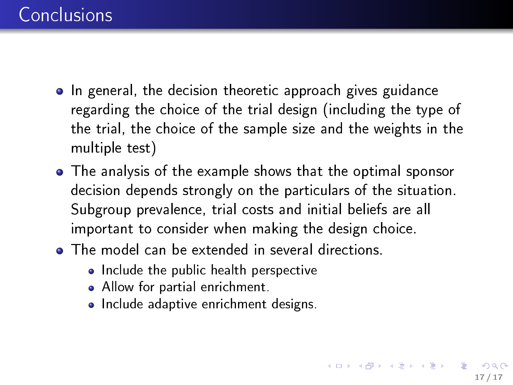- In general, the decision theoretic approach gives guidance regarding the choice of the trial design (including the type of the trial, the choice of the sample size and the weights in the multiple test)
- The analysis of the example shows that the optimal sponsor decision depends strongly on the particulars of the situation. Subgroup prevalence, trial costs and initial beliefs are all important to consider when making the design choice.
- **•** The model can be extended in several directions.
	- Include the public health perspective
	- Allow for partial enrichment.
	- Include adaptive enrichment designs.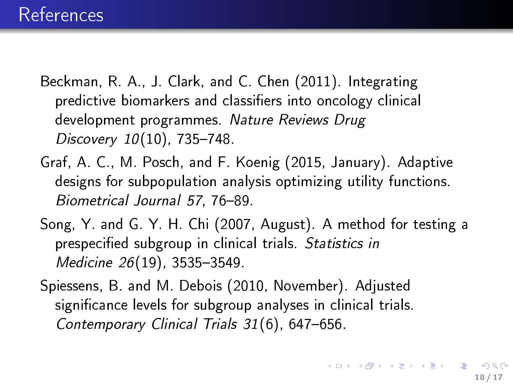- Beckman, R. A., J. Clark, and C. Chen (2011). Integrating predictive biomarkers and classifiers into oncology clinical development programmes. Nature Reviews Drug  $Discovery 10(10)$ , 735-748.
- Graf, A. C., M. Posch, and F. Koenig (2015, January). Adaptive designs for subpopulation analysis optimizing utility functions. Biometrical Journal 57, 76-89.
- Song, Y. and G. Y. H. Chi (2007, August). A method for testing a prespecified subgroup in clinical trials. Statistics in Medicine 26(19), 3535-3549.
- Spiessens, B. and M. Debois (2010, November). Adjusted significance levels for subgroup analyses in clinical trials. Contemporary Clinical Trials  $31(6)$ , 647-656.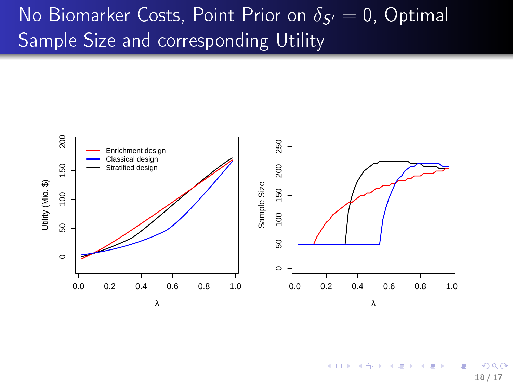## No Biomarker Costs, Point Prior on  $\delta_{\mathcal{S}'}=0$ , Optimal Sample Size and corresponding Utility



 $($  ロ )  $($   $($  $)$   $)$   $($   $)$   $($   $)$   $($   $)$   $($   $)$   $($   $)$   $($   $)$   $($   $)$   $($   $)$   $($   $)$   $($   $)$   $($   $)$   $($   $)$   $($   $)$   $($   $)$   $($   $)$   $($   $)$   $($   $)$   $($   $)$   $($   $)$   $($   $)$   $($   $)$   $($   $)$   $($   $)$   $($   $)$   $($   $)$  $\Omega$ 18 / 17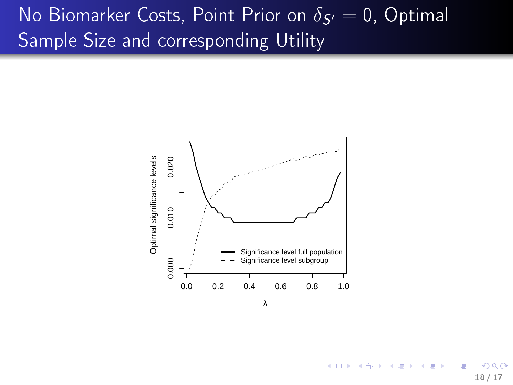## No Biomarker Costs, Point Prior on  $\delta_{\mathcal{S}'}=0$ , Optimal Sample Size and corresponding Utility



λ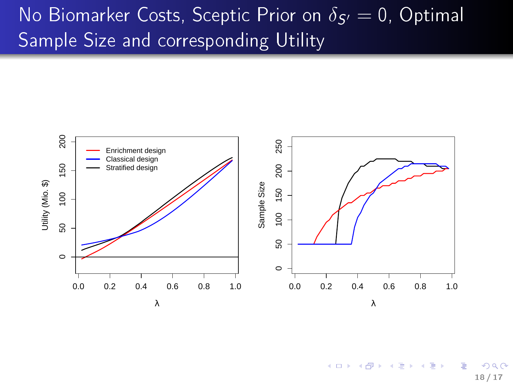## No Biomarker Costs, Sceptic Prior on  $\delta_{\mathcal{S}'}=0$ , Optimal Sample Size and corresponding Utility



4. 0. 8.  $\begin{array}{cccccccccccccc} A & A & B & A & B & A & A & B \end{array}$  $\Omega$ 18 / 17